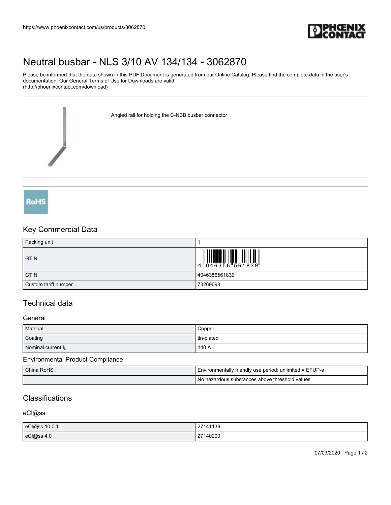

# [Neutral busbar - NLS 3/10 AV 134/134 - 3062870](https://www.phoenixcontact.com/us/products/3062870)

Please be informed that the data shown in this PDF Document is generated from our Online Catalog. Please find the complete data in the user's documentation. Our General Terms of Use for Downloads are valid (http://phoenixcontact.com/download)

Angled rail for holding the C-NBB busbar connector



## Key Commercial Data

| Packing unit         |               |
|----------------------|---------------|
| <b>GTIN</b>          |               |
| <b>GTIN</b>          | 4046356561839 |
| Custom tariff number | 73269098      |

## Technical data

#### General

| Material              | Copper     |
|-----------------------|------------|
| Coating               | tin-plated |
| Nominal current $I_N$ | 140 A      |

#### Environmental Product Compliance

| China RoHS | : unlimited = EFUP-e<br>Finvironmentally friendly use period: " |
|------------|-----------------------------------------------------------------|
|            | Νo<br>hazardous substances above threshold values               |

## **Classifications**

#### eCl@ss

| eCl@ss 10.0.1 | 27141139 |
|---------------|----------|
| eCl@ss 4.0    | 27140200 |